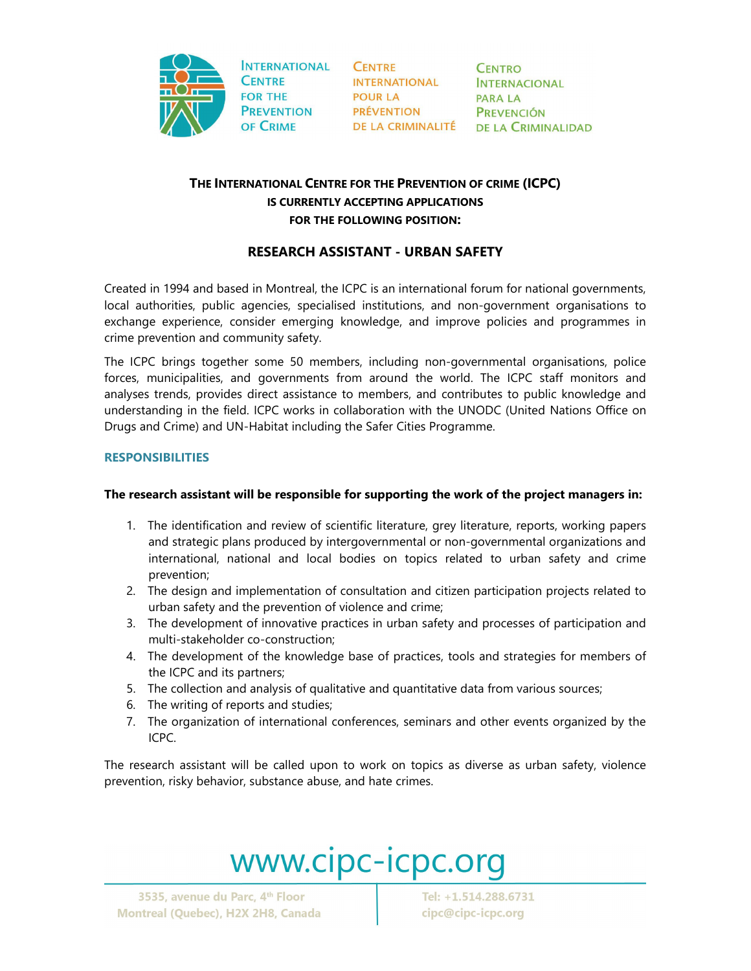

**INTERNATIONAL CENTRE FOR THE PREVENTION** OF CRIME

**CENTRE INTERNATIONAL POUR LA PRÉVENTION** 

**CENTRO INTERNACIONAL PARA LA PREVENCIÓN** DE LA CRIMINALITÉ DE LA CRIMINALIDAD

## **THE INTERNATIONAL CENTRE FOR THE PREVENTION OF CRIME (ICPC) IS CURRENTLY ACCEPTING APPLICATIONS FOR THE FOLLOWING POSITION:**

## **RESEARCH ASSISTANT - URBAN SAFETY**

Created in 1994 and based in Montreal, the ICPC is an international forum for national governments, local authorities, public agencies, specialised institutions, and non-government organisations to exchange experience, consider emerging knowledge, and improve policies and programmes in crime prevention and community safety.

The ICPC brings together some 50 members, including non-governmental organisations, police forces, municipalities, and governments from around the world. The ICPC staff monitors and analyses trends, provides direct assistance to members, and contributes to public knowledge and understanding in the field. ICPC works in collaboration with the UNODC (United Nations Office on Drugs and Crime) and UN-Habitat including the Safer Cities Programme.

### **RESPONSIBILITIES**

### **The research assistant will be responsible for supporting the work of the project managers in:**

- 1. The identification and review of scientific literature, grey literature, reports, working papers and strategic plans produced by intergovernmental or non-governmental organizations and international, national and local bodies on topics related to urban safety and crime prevention;
- 2. The design and implementation of consultation and citizen participation projects related to urban safety and the prevention of violence and crime;
- 3. The development of innovative practices in urban safety and processes of participation and multi-stakeholder co-construction;
- 4. The development of the knowledge base of practices, tools and strategies for members of the ICPC and its partners;
- 5. The collection and analysis of qualitative and quantitative data from various sources;
- 6. The writing of reports and studies;
- 7. The organization of international conferences, seminars and other events organized by the ICPC.

The research assistant will be called upon to work on topics as diverse as urban safety, violence prevention, risky behavior, substance abuse, and hate crimes.

# www.cipc-icpc.org